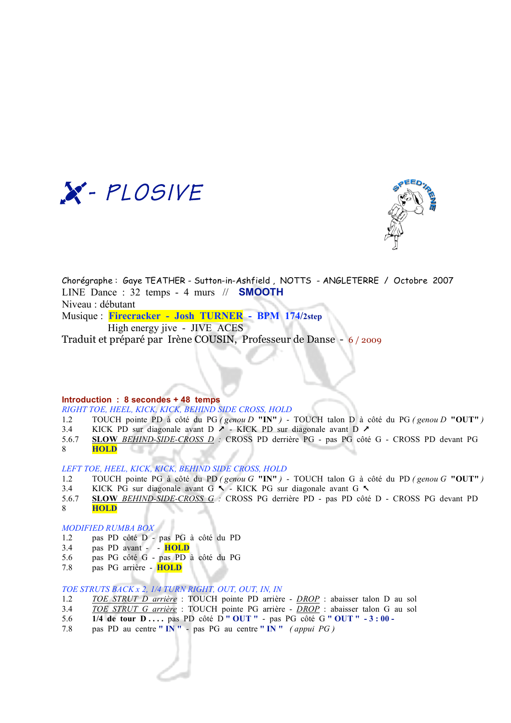



Chorégraphe : Gaye TEATHER - Sutton-in-Ashfield , NOTTS - ANGLETERRE / Octobre 2007 LINE Dance : 32 temps - 4 murs // **SMOOTH** Niveau : débutant Musique : **Firecracker - Josh TURNER - BPM 174/2step** 

High energy jive - JIVE ACES

Traduit et préparé par Irène COUSIN, Professeur de Danse - 6 / 2009

## **Introduction : 8 secondes + 48 temps**

*RIGHT TOE, HEEL, KICK, KICK, BEHIND SIDE CROSS, HOLD*

- 1.2 TOUCH pointe PD à côté du PG *( genou D* **"IN"** *)*  TOUCH talon D à côté du PG *( genou D* **"OUT"** *)*
- 3.4 KICK PD sur diagonale avant D  $\lambda$  KICK PD sur diagonale avant D  $\lambda$
- 5.6.7 **SLOW** *BEHIND-SIDE-CROSS D :* CROSS PD derrière PG pas PG côté G CROSS PD devant PG 8 **HOLD** œ

*LEFT TOE, HEEL, KICK, KICK, BEHIND SIDE CROSS, HOLD*

- 1.2 TOUCH pointe PG à côté du PD *( genou G* **"IN"** *)*  TOUCH talon G à côté du PD *( genou G* **"OUT"** *)*
- 3.4 KICK PG sur diagonale avant G  $\sim$  KICK PG sur diagonale avant G  $\sim$
- 5.6.7 **SLOW** *BEHIND-SIDE-CROSS G :* CROSS PG derrière PD pas PD côté D CROSS PG devant PD 8 **HOLD**

# *MODIFIED RUMBA BOX*

- 1.2 pas PD côté D pas PG à côté du PD
- 3.4 pas PD avant - **HOLD**
- 5.6 pas PG côté G pas PD à côté du PG
- 7.8 pas PG arrière **HOLD**

## *TOE STRUTS BACK x 2, 1/4 TURN RIGHT, OUT, OUT, IN, IN*

- 1.2 *TOE STRUT D arrière* : TOUCH pointe PD arrière *DROP* : abaisser talon D au sol
- 3.4 *TOE STRUT G arrière* : TOUCH pointe PG arrière *DROP* : abaisser talon G au sol
- 5.6 **1/4 de tour D . . . .** pas PD côté D **" OUT "** pas PG côté G **" OUT " 3 : 00 -**
- 7.8 pas PD au centre **" IN "** pas PG au centre **" IN "** *( appui PG )*